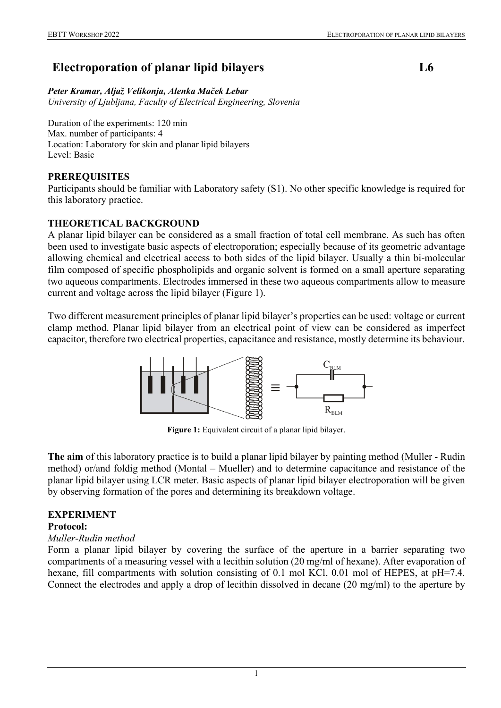# **Electroporation of planar lipid bilayers L6**

#### *Peter Kramar, Aljaž Velikonja, Alenka Maček Lebar*

*University of Ljubljana, Faculty of Electrical Engineering, Slovenia*

Duration of the experiments: 120 min Max. number of participants: 4 Location: Laboratory for skin and planar lipid bilayers Level: Basic

### **PREREQUISITES**

Participants should be familiar with Laboratory safety (S1). No other specific knowledge is required for this laboratory practice.

### **THEORETICAL BACKGROUND**

A planar lipid bilayer can be considered as a small fraction of total cell membrane. As such has often been used to investigate basic aspects of electroporation; especially because of its geometric advantage allowing chemical and electrical access to both sides of the lipid bilayer. Usually a thin bi-molecular film composed of specific phospholipids and organic solvent is formed on a small aperture separating two aqueous compartments. Electrodes immersed in these two aqueous compartments allow to measure current and voltage across the lipid bilayer (Figure 1).

Two different measurement principles of planar lipid bilayer's properties can be used: voltage or current clamp method. Planar lipid bilayer from an electrical point of view can be considered as imperfect capacitor, therefore two electrical properties, capacitance and resistance, mostly determine its behaviour.



**Figure 1:** Equivalent circuit of a planar lipid bilayer.

**The aim** of this laboratory practice is to build a planar lipid bilayer by painting method (Muller - Rudin method) or/and foldig method (Montal – Mueller) and to determine capacitance and resistance of the planar lipid bilayer using LCR meter. Basic aspects of planar lipid bilayer electroporation will be given by observing formation of the pores and determining its breakdown voltage.

## **EXPERIMENT**

#### **Protocol:**

#### *Muller-Rudin method*

Form a planar lipid bilayer by covering the surface of the aperture in a barrier separating two compartments of a measuring vessel with a lecithin solution (20 mg/ml of hexane). After evaporation of hexane, fill compartments with solution consisting of 0.1 mol KCl, 0.01 mol of HEPES, at pH=7.4. Connect the electrodes and apply a drop of lecithin dissolved in decane (20 mg/ml) to the aperture by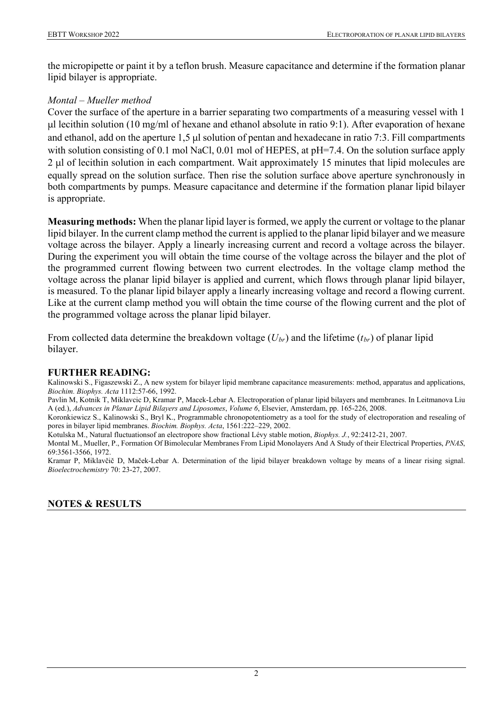the micropipette or paint it by a teflon brush. Measure capacitance and determine if the formation planar lipid bilayer is appropriate.

### *Montal – Mueller method*

Cover the surface of the aperture in a barrier separating two compartments of a measuring vessel with 1 μl lecithin solution (10 mg/ml of hexane and ethanol absolute in ratio 9:1). After evaporation of hexane and ethanol, add on the aperture 1,5 μl solution of pentan and hexadecane in ratio 7:3. Fill compartments with solution consisting of 0.1 mol NaCl, 0.01 mol of HEPES, at pH=7.4. On the solution surface apply 2 μl of lecithin solution in each compartment. Wait approximately 15 minutes that lipid molecules are equally spread on the solution surface. Then rise the solution surface above aperture synchronously in both compartments by pumps. Measure capacitance and determine if the formation planar lipid bilayer is appropriate.

**Measuring methods:** When the planar lipid layer is formed, we apply the current or voltage to the planar lipid bilayer. In the current clamp method the current is applied to the planar lipid bilayer and we measure voltage across the bilayer. Apply a linearly increasing current and record a voltage across the bilayer. During the experiment you will obtain the time course of the voltage across the bilayer and the plot of the programmed current flowing between two current electrodes. In the voltage clamp method the voltage across the planar lipid bilayer is applied and current, which flows through planar lipid bilayer, is measured. To the planar lipid bilayer apply a linearly increasing voltage and record a flowing current. Like at the current clamp method you will obtain the time course of the flowing current and the plot of the programmed voltage across the planar lipid bilayer.

From collected data determine the breakdown voltage (*Ubr*) and the lifetime (*tbr*) of planar lipid bilayer.

#### **FURTHER READING:**

Kalinowski S., Figaszewski Z., A new system for bilayer lipid membrane capacitance measurements: method, apparatus and applications, *Biochim. Biophys. Acta* 1112:57-66, 1992.

Pavlin M, Kotnik T, Miklavcic D, Kramar P, Macek-Lebar A. Electroporation of planar lipid bilayers and membranes. In Leitmanova Liu A (ed.), *Advances in Planar Lipid Bilayers and Liposomes*, *Volume 6*, Elsevier, Amsterdam, pp. 165-226, 2008.

Koronkiewicz S., Kalinowski S., Bryl K., Programmable chronopotentiometry as a tool for the study of electroporation and resealing of pores in bilayer lipid membranes. *Biochim. Biophys. Acta*, 1561:222–229, 2002.

Kotulska M., Natural fluctuationsof an electropore show fractional Lévy stable motion, *Biophys. J.*, 92:2412-21, 2007.

Montal M., Mueller, P., Formation Of Bimolecular Membranes From Lipid Monolayers And A Study of their Electrical Properties, *PNAS*, 69:3561-3566, 1972.

Kramar P, Miklavčič D, Maček-Lebar A. Determination of the lipid bilayer breakdown voltage by means of a linear rising signal. *Bioelectrochemistry* 70: 23-27, 2007.

## **NOTES & RESULTS**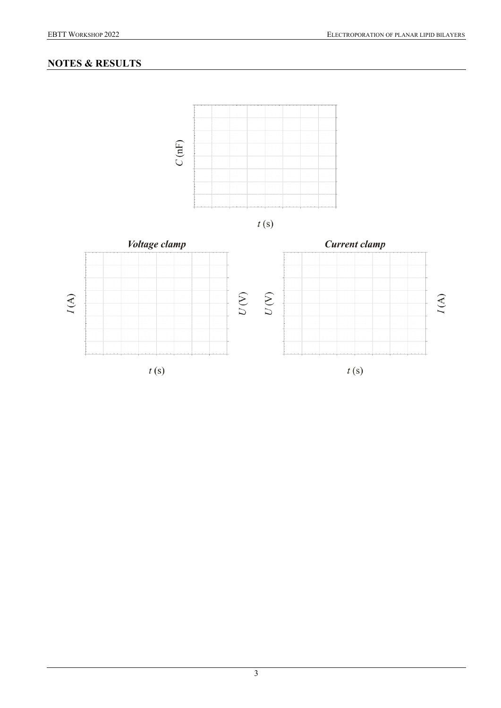# **NOTES & RESULTS**